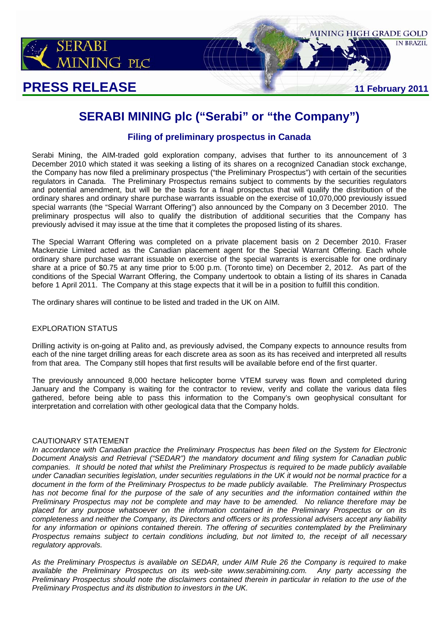

# **PRESS RELEASE** 11 February 2011



**IN BRAZIL** 

# **SERABI MINING plc ("Serabi" or "the Company")**

## **Filing of preliminary prospectus in Canada**

Serabi Mining, the AIM-traded gold exploration company, advises that further to its announcement of 3 December 2010 which stated it was seeking a listing of its shares on a recognized Canadian stock exchange, the Company has now filed a preliminary prospectus ("the Preliminary Prospectus") with certain of the securities regulators in Canada. The Preliminary Prospectus remains subject to comments by the securities regulators and potential amendment, but will be the basis for a final prospectus that will qualify the distribution of the ordinary shares and ordinary share purchase warrants issuable on the exercise of 10,070,000 previously issued special warrants (the "Special Warrant Offering") also announced by the Company on 3 December 2010. The preliminary prospectus will also to qualify the distribution of additional securities that the Company has previously advised it may issue at the time that it completes the proposed listing of its shares.

The Special Warrant Offering was completed on a private placement basis on 2 December 2010. Fraser Mackenzie Limited acted as the Canadian placement agent for the Special Warrant Offering. Each whole ordinary share purchase warrant issuable on exercise of the special warrants is exercisable for one ordinary share at a price of \$0.75 at any time prior to 5:00 p.m. (Toronto time) on December 2, 2012. As part of the conditions of the Special Warrant Offering, the Company undertook to obtain a listing of its shares in Canada before 1 April 2011. The Company at this stage expects that it will be in a position to fulfill this condition.

The ordinary shares will continue to be listed and traded in the UK on AIM.

### EXPLORATION STATUS

Drilling activity is on-going at Palito and, as previously advised, the Company expects to announce results from each of the nine target drilling areas for each discrete area as soon as its has received and interpreted all results from that area. The Company still hopes that first results will be available before end of the first quarter.

The previously announced 8,000 hectare helicopter borne VTEM survey was flown and completed during January and the Company is waiting for the contractor to review, verify and collate the various data files gathered, before being able to pass this information to the Company's own geophysical consultant for interpretation and correlation with other geological data that the Company holds.

#### CAUTIONARY STATEMENT

*In accordance with Canadian practice the Preliminary Prospectus has been filed on the System for Electronic Document Analysis and Retrieval ("SEDAR") the mandatory document and filing system for Canadian public companies. It should be noted that whilst the Preliminary Prospectus is required to be made publicly available under Canadian securities legislation, under securities regulations in the UK it would not be normal practice for a document in the form of the Preliminary Prospectus to be made publicly available. The Preliminary Prospectus has not become final for the purpose of the sale of any securities and the information contained within the Preliminary Prospectus may not be complete and may have to be amended. No reliance therefore may be placed for any purpose whatsoever on the information contained in the Preliminary Prospectus or on its completeness and neither the Company, its Directors and officers or its professional advisers accept any liability for any information or opinions contained therein. The offering of securities contemplated by the Preliminary Prospectus remains subject to certain conditions including, but not limited to, the receipt of all necessary regulatory approvals.* 

*As the Preliminary Prospectus is available on SEDAR, under AIM Rule 26 the Company is required to make*  available the Preliminary Prospectus on its web-site www.serabimining.com. *Preliminary Prospectus should note the disclaimers contained therein in particular in relation to the use of the Preliminary Prospectus and its distribution to investors in the UK.*